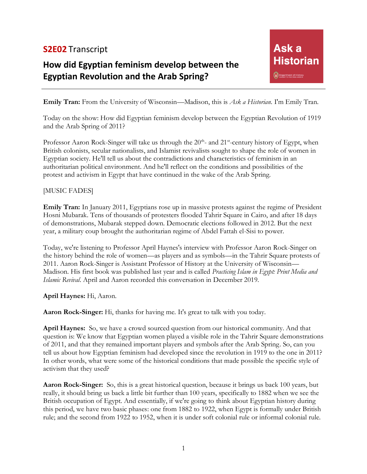## **S2E02** Transcript

## **How did Egyptian feminism develop between the Egyptian Revolution and the Arab Spring?**

**Emily Tran:** From the University of Wisconsin—Madison, this is *Ask a Historian*. I'm Emily Tran.

Today on the show: How did Egyptian feminism develop between the Egyptian Revolution of 1919 and the Arab Spring of 2011?

Professor Aaron Rock-Singer will take us through the  $20<sup>th</sup>$ - and  $21<sup>st</sup>$ -century history of Egypt, when British colonists, secular nationalists, and Islamist revivalists sought to shape the role of women in Egyptian society. He'll tell us about the contradictions and characteristics of feminism in an authoritarian political environment. And he'll reflect on the conditions and possibilities of the protest and activism in Egypt that have continued in the wake of the Arab Spring.

## [MUSIC FADES]

**Emily Tran:** In January 2011, Egyptians rose up in massive protests against the regime of President Hosni Mubarak. Tens of thousands of protesters flooded Tahrir Square in Cairo, and after 18 days of demonstrations, Mubarak stepped down. Democratic elections followed in 2012. But the next year, a military coup brought the authoritarian regime of Abdel Fattah el-Sisi to power.

Today, we're listening to Professor April Haynes's interview with Professor Aaron Rock-Singer on the history behind the role of women—as players and as symbols—in the Tahrir Square protests of 2011. Aaron Rock-Singer is Assistant Professor of History at the University of Wisconsin— Madison. His first book was published last year and is called *Practicing Islam in Egypt: Print Media and Islamic Revival*. April and Aaron recorded this conversation in December 2019.

**April Haynes:** Hi, Aaron.

**Aaron Rock-Singer:** Hi, thanks for having me. It's great to talk with you today.

**April Haynes:** So, we have a crowd sourced question from our historical community. And that question is: We know that Egyptian women played a visible role in the Tahrir Square demonstrations of 2011, and that they remained important players and symbols after the Arab Spring. So, can you tell us about how Egyptian feminism had developed since the revolution in 1919 to the one in 2011? In other words, what were some of the historical conditions that made possible the specific style of activism that they used?

**Aaron Rock-Singer:** So, this is a great historical question, because it brings us back 100 years, but really, it should bring us back a little bit further than 100 years, specifically to 1882 when we see the British occupation of Egypt. And essentially, if we're going to think about Egyptian history during this period, we have two basic phases: one from 1882 to 1922, when Egypt is formally under British rule; and the second from 1922 to 1952, when it is under soft colonial rule or informal colonial rule.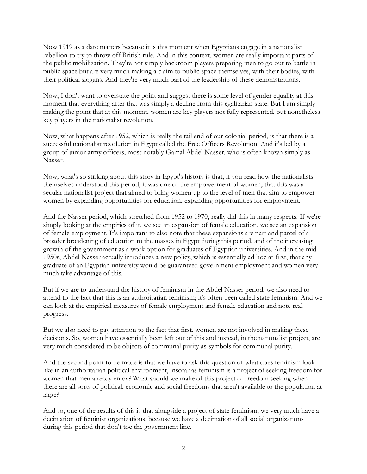Now 1919 as a date matters because it is this moment when Egyptians engage in a nationalist rebellion to try to throw off British rule. And in this context, women are really important parts of the public mobilization. They're not simply backroom players preparing men to go out to battle in public space but are very much making a claim to public space themselves, with their bodies, with their political slogans. And they're very much part of the leadership of these demonstrations.

Now, I don't want to overstate the point and suggest there is some level of gender equality at this moment that everything after that was simply a decline from this egalitarian state. But I am simply making the point that at this moment, women are key players not fully represented, but nonetheless key players in the nationalist revolution.

Now, what happens after 1952, which is really the tail end of our colonial period, is that there is a successful nationalist revolution in Egypt called the Free Officers Revolution. And it's led by a group of junior army officers, most notably Gamal Abdel Nasser, who is often known simply as Nasser.

Now, what's so striking about this story in Egypt's history is that, if you read how the nationalists themselves understood this period, it was one of the empowerment of women, that this was a secular nationalist project that aimed to bring women up to the level of men that aim to empower women by expanding opportunities for education, expanding opportunities for employment.

And the Nasser period, which stretched from 1952 to 1970, really did this in many respects. If we're simply looking at the empirics of it, we see an expansion of female education, we see an expansion of female employment. It's important to also note that these expansions are part and parcel of a broader broadening of education to the masses in Egypt during this period, and of the increasing growth of the government as a work option for graduates of Egyptian universities. And in the mid-1950s, Abdel Nasser actually introduces a new policy, which is essentially ad hoc at first, that any graduate of an Egyptian university would be guaranteed government employment and women very much take advantage of this.

But if we are to understand the history of feminism in the Abdel Nasser period, we also need to attend to the fact that this is an authoritarian feminism; it's often been called state feminism. And we can look at the empirical measures of female employment and female education and note real progress.

But we also need to pay attention to the fact that first, women are not involved in making these decisions. So, women have essentially been left out of this and instead, in the nationalist project, are very much considered to be objects of communal purity as symbols for communal purity.

And the second point to be made is that we have to ask this question of what does feminism look like in an authoritarian political environment, insofar as feminism is a project of seeking freedom for women that men already enjoy? What should we make of this project of freedom seeking when there are all sorts of political, economic and social freedoms that aren't available to the population at large?

And so, one of the results of this is that alongside a project of state feminism, we very much have a decimation of feminist organizations, because we have a decimation of all social organizations during this period that don't toe the government line.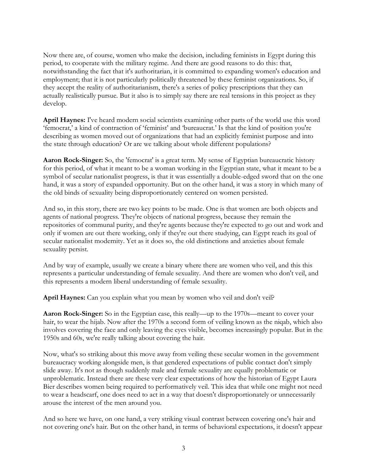Now there are, of course, women who make the decision, including feminists in Egypt during this period, to cooperate with the military regime. And there are good reasons to do this: that, notwithstanding the fact that it's authoritarian, it is committed to expanding women's education and employment; that it is not particularly politically threatened by these feminist organizations. So, if they accept the reality of authoritarianism, there's a series of policy prescriptions that they can actually realistically pursue. But it also is to simply say there are real tensions in this project as they develop.

**April Haynes:** I've heard modern social scientists examining other parts of the world use this word 'femocrat,' a kind of contraction of 'feminist' and 'bureaucrat.' Is that the kind of position you're describing as women moved out of organizations that had an explicitly feminist purpose and into the state through education? Or are we talking about whole different populations?

**Aaron Rock-Singer:** So, the 'femocrat' is a great term. My sense of Egyptian bureaucratic history for this period, of what it meant to be a woman working in the Egyptian state, what it meant to be a symbol of secular nationalist progress, is that it was essentially a double-edged sword that on the one hand, it was a story of expanded opportunity. But on the other hand, it was a story in which many of the old binds of sexuality being disproportionately centered on women persisted.

And so, in this story, there are two key points to be made. One is that women are both objects and agents of national progress. They're objects of national progress, because they remain the repositories of communal purity, and they're agents because they're expected to go out and work and only if women are out there working, only if they're out there studying, can Egypt reach its goal of secular nationalist modernity. Yet as it does so, the old distinctions and anxieties about female sexuality persist.

And by way of example, usually we create a binary where there are women who veil, and this this represents a particular understanding of female sexuality. And there are women who don't veil, and this represents a modern liberal understanding of female sexuality.

April Haynes: Can you explain what you mean by women who veil and don't veil?

**Aaron Rock-Singer:** So in the Egyptian case, this really—up to the 1970s—meant to cover your hair, to wear the hijab. Now after the 1970s a second form of veiling known as the niqab, which also involves covering the face and only leaving the eyes visible, becomes increasingly popular. But in the 1950s and 60s, we're really talking about covering the hair.

Now, what's so striking about this move away from veiling these secular women in the government bureaucracy working alongside men, is that gendered expectations of public contact don't simply slide away. It's not as though suddenly male and female sexuality are equally problematic or unproblematic. Instead there are these very clear expectations of how the historian of Egypt Laura Bier describes women being required to performatively veil. This idea that while one might not need to wear a headscarf, one does need to act in a way that doesn't disproportionately or unnecessarily arouse the interest of the men around you.

And so here we have, on one hand, a very striking visual contrast between covering one's hair and not covering one's hair. But on the other hand, in terms of behavioral expectations, it doesn't appear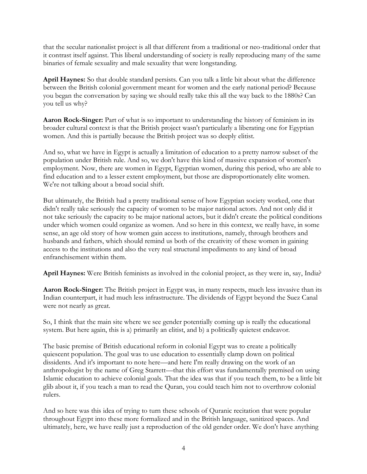that the secular nationalist project is all that different from a traditional or neo-traditional order that it contrast itself against. This liberal understanding of society is really reproducing many of the same binaries of female sexuality and male sexuality that were longstanding.

**April Haynes:** So that double standard persists. Can you talk a little bit about what the difference between the British colonial government meant for women and the early national period? Because you began the conversation by saying we should really take this all the way back to the 1880s? Can you tell us why?

**Aaron Rock-Singer:** Part of what is so important to understanding the history of feminism in its broader cultural context is that the British project wasn't particularly a liberating one for Egyptian women. And this is partially because the British project was so deeply elitist.

And so, what we have in Egypt is actually a limitation of education to a pretty narrow subset of the population under British rule. And so, we don't have this kind of massive expansion of women's employment. Now, there are women in Egypt, Egyptian women, during this period, who are able to find education and to a lesser extent employment, but those are disproportionately elite women. We're not talking about a broad social shift.

But ultimately, the British had a pretty traditional sense of how Egyptian society worked, one that didn't really take seriously the capacity of women to be major national actors. And not only did it not take seriously the capacity to be major national actors, but it didn't create the political conditions under which women could organize as women. And so here in this context, we really have, in some sense, an age old story of how women gain access to institutions, namely, through brothers and husbands and fathers, which should remind us both of the creativity of these women in gaining access to the institutions and also the very real structural impediments to any kind of broad enfranchisement within them.

**April Haynes:** Were British feminists as involved in the colonial project, as they were in, say, India?

**Aaron Rock-Singer:** The British project in Egypt was, in many respects, much less invasive than its Indian counterpart, it had much less infrastructure. The dividends of Egypt beyond the Suez Canal were not nearly as great.

So, I think that the main site where we see gender potentially coming up is really the educational system. But here again, this is a) primarily an elitist, and b) a politically quietest endeavor.

The basic premise of British educational reform in colonial Egypt was to create a politically quiescent population. The goal was to use education to essentially clamp down on political dissidents. And it's important to note here—and here I'm really drawing on the work of an anthropologist by the name of Greg Starrett—that this effort was fundamentally premised on using Islamic education to achieve colonial goals. That the idea was that if you teach them, to be a little bit glib about it, if you teach a man to read the Quran, you could teach him not to overthrow colonial rulers.

And so here was this idea of trying to turn these schools of Quranic recitation that were popular throughout Egypt into these more formalized and in the British language, sanitized spaces. And ultimately, here, we have really just a reproduction of the old gender order. We don't have anything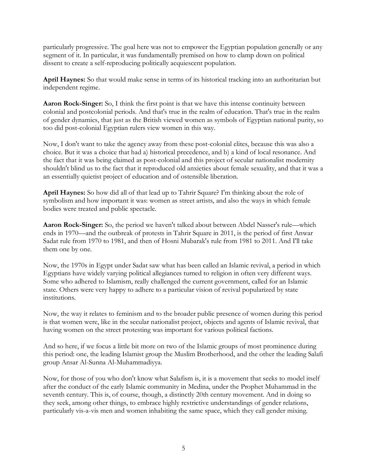particularly progressive. The goal here was not to empower the Egyptian population generally or any segment of it. In particular, it was fundamentally premised on how to clamp down on political dissent to create a self-reproducing politically acquiescent population.

**April Haynes:** So that would make sense in terms of its historical tracking into an authoritarian but independent regime.

**Aaron Rock-Singer:** So, I think the first point is that we have this intense continuity between colonial and postcolonial periods. And that's true in the realm of education. That's true in the realm of gender dynamics, that just as the British viewed women as symbols of Egyptian national purity, so too did post-colonial Egyptian rulers view women in this way.

Now, I don't want to take the agency away from these post-colonial elites, because this was also a choice. But it was a choice that had a) historical precedence, and b) a kind of local resonance. And the fact that it was being claimed as post-colonial and this project of secular nationalist modernity shouldn't blind us to the fact that it reproduced old anxieties about female sexuality, and that it was a an essentially quietist project of education and of ostensible liberation.

**April Haynes:** So how did all of that lead up to Tahrir Square? I'm thinking about the role of symbolism and how important it was: women as street artists, and also the ways in which female bodies were treated and public spectacle.

**Aaron Rock-Singer:** So, the period we haven't talked about between Abdel Nasser's rule—which ends in 1970—and the outbreak of protests in Tahrir Square in 2011, is the period of first Anwar Sadat rule from 1970 to 1981, and then of Hosni Mubarak's rule from 1981 to 2011. And I'll take them one by one.

Now, the 1970s in Egypt under Sadat saw what has been called an Islamic revival, a period in which Egyptians have widely varying political allegiances turned to religion in often very different ways. Some who adhered to Islamism, really challenged the current government, called for an Islamic state. Others were very happy to adhere to a particular vision of revival popularized by state institutions.

Now, the way it relates to feminism and to the broader public presence of women during this period is that women were, like in the secular nationalist project, objects and agents of Islamic revival, that having women on the street protesting was important for various political factions.

And so here, if we focus a little bit more on two of the Islamic groups of most prominence during this period: one, the leading Islamist group the Muslim Brotherhood, and the other the leading Salafi group Ansar Al-Sunna Al-Muhammadiyya.

Now, for those of you who don't know what Salafism is, it is a movement that seeks to model itself after the conduct of the early Islamic community in Medina, under the Prophet Muhammad in the seventh century. This is, of course, though, a distinctly 20th century movement. And in doing so they seek, among other things, to embrace highly restrictive understandings of gender relations, particularly vis-a-vis men and women inhabiting the same space, which they call gender mixing.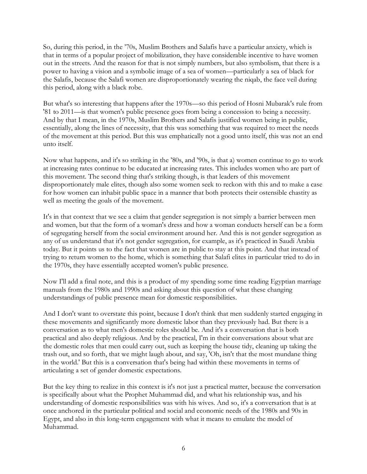So, during this period, in the '70s, Muslim Brothers and Salafis have a particular anxiety, which is that in terms of a popular project of mobilization, they have considerable incentive to have women out in the streets. And the reason for that is not simply numbers, but also symbolism, that there is a power to having a vision and a symbolic image of a sea of women—particularly a sea of black for the Salafis, because the Salafi women are disproportionately wearing the niqab, the face veil during this period, along with a black robe.

But what's so interesting that happens after the 1970s—so this period of Hosni Mubarak's rule from '81 to 2011—is that women's public presence goes from being a concession to being a necessity. And by that I mean, in the 1970s, Muslim Brothers and Salafis justified women being in public, essentially, along the lines of necessity, that this was something that was required to meet the needs of the movement at this period. But this was emphatically not a good unto itself, this was not an end unto itself.

Now what happens, and it's so striking in the '80s, and '90s, is that a) women continue to go to work at increasing rates continue to be educated at increasing rates. This includes women who are part of this movement. The second thing that's striking though, is that leaders of this movement disproportionately male elites, though also some women seek to reckon with this and to make a case for how women can inhabit public space in a manner that both protects their ostensible chastity as well as meeting the goals of the movement.

It's in that context that we see a claim that gender segregation is not simply a barrier between men and women, but that the form of a woman's dress and how a woman conducts herself can be a form of segregating herself from the social environment around her. And this is not gender segregation as any of us understand that it's not gender segregation, for example, as it's practiced in Saudi Arabia today. But it points us to the fact that women are in public to stay at this point. And that instead of trying to return women to the home, which is something that Salafi elites in particular tried to do in the 1970s, they have essentially accepted women's public presence.

Now I'll add a final note, and this is a product of my spending some time reading Egyptian marriage manuals from the 1980s and 1990s and asking about this question of what these changing understandings of public presence mean for domestic responsibilities.

And I don't want to overstate this point, because I don't think that men suddenly started engaging in these movements and significantly more domestic labor than they previously had. But there is a conversation as to what men's domestic roles should be. And it's a conversation that is both practical and also deeply religious. And by the practical, I'm in their conversations about what are the domestic roles that men could carry out, such as keeping the house tidy, cleaning up taking the trash out, and so forth, that we might laugh about, and say, 'Oh, isn't that the most mundane thing in the world.' But this is a conversation that's being had within these movements in terms of articulating a set of gender domestic expectations.

But the key thing to realize in this context is it's not just a practical matter, because the conversation is specifically about what the Prophet Muhammad did, and what his relationship was, and his understanding of domestic responsibilities was with his wives. And so, it's a conversation that is at once anchored in the particular political and social and economic needs of the 1980s and 90s in Egypt, and also in this long-term engagement with what it means to emulate the model of Muhammad.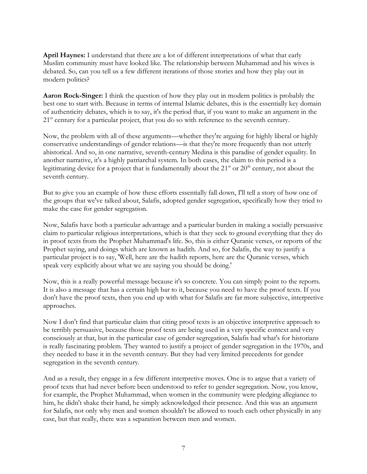**April Haynes:** I understand that there are a lot of different interpretations of what that early Muslim community must have looked like. The relationship between Muhammad and his wives is debated. So, can you tell us a few different iterations of those stories and how they play out in modern politics?

**Aaron Rock-Singer:** I think the question of how they play out in modern politics is probably the best one to start with. Because in terms of internal Islamic debates, this is the essentially key domain of authenticity debates, which is to say, it's the period that, if you want to make an argument in the 21<sup>st</sup> century for a particular project, that you do so with reference to the seventh century.

Now, the problem with all of these arguments—whether they're arguing for highly liberal or highly conservative understandings of gender relations—is that they're more frequently than not utterly ahistorical. And so, in one narrative, seventh-century Medina is this paradise of gender equality. In another narrative, it's a highly patriarchal system. In both cases, the claim to this period is a legitimating device for a project that is fundamentally about the  $21<sup>st</sup>$  or  $20<sup>th</sup>$  century, not about the seventh century.

But to give you an example of how these efforts essentially fall down, I'll tell a story of how one of the groups that we've talked about, Salafis, adopted gender segregation, specifically how they tried to make the case for gender segregation.

Now, Salafis have both a particular advantage and a particular burden in making a socially persuasive claim to particular religious interpretations, which is that they seek to ground everything that they do in proof texts from the Prophet Muhammad's life. So, this is either Quranic verses, or reports of the Prophet saying, and doings which are known as hadith. And so, for Salafis, the way to justify a particular project is to say, 'Well, here are the hadith reports, here are the Quranic verses, which speak very explicitly about what we are saying you should be doing.'

Now, this is a really powerful message because it's so concrete. You can simply point to the reports. It is also a message that has a certain high bar to it, because you need to have the proof texts. If you don't have the proof texts, then you end up with what for Salafis are far more subjective, interpretive approaches.

Now I don't find that particular claim that citing proof texts is an objective interpretive approach to be terribly persuasive, because those proof texts are being used in a very specific context and very consciously at that, but in the particular case of gender segregation, Salafis had what's for historians is really fascinating problem. They wanted to justify a project of gender segregation in the 1970s, and they needed to base it in the seventh century. But they had very limited precedents for gender segregation in the seventh century.

And as a result, they engage in a few different interpretive moves. One is to argue that a variety of proof texts that had never before been understood to refer to gender segregation. Now, you know, for example, the Prophet Muhammad, when women in the community were pledging allegiance to him, he didn't shake their hand, he simply acknowledged their presence. And this was an argument for Salafis, not only why men and women shouldn't be allowed to touch each other physically in any case, but that really, there was a separation between men and women.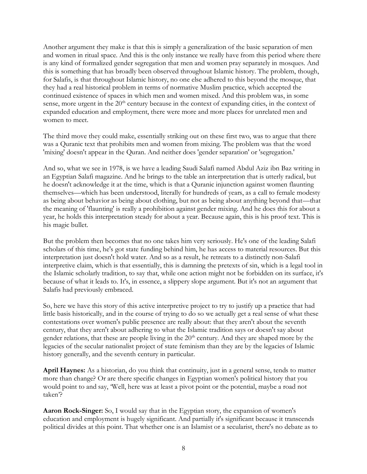Another argument they make is that this is simply a generalization of the basic separation of men and women in ritual space. And this is the only instance we really have from this period where there is any kind of formalized gender segregation that men and women pray separately in mosques. And this is something that has broadly been observed throughout Islamic history. The problem, though, for Salafis, is that throughout Islamic history, no one else adhered to this beyond the mosque, that they had a real historical problem in terms of normative Muslim practice, which accepted the continued existence of spaces in which men and women mixed. And this problem was, in some sense, more urgent in the  $20<sup>th</sup>$  century because in the context of expanding cities, in the context of expanded education and employment, there were more and more places for unrelated men and women to meet.

The third move they could make, essentially striking out on these first two, was to argue that there was a Quranic text that prohibits men and women from mixing. The problem was that the word 'mixing' doesn't appear in the Quran. And neither does 'gender separation' or 'segregation.'

And so, what we see in 1978, is we have a leading Saudi Salafi named Abdul Aziz ibn Baz writing in an Egyptian Salafi magazine. And he brings to the table an interpretation that is utterly radical, but he doesn't acknowledge it at the time, which is that a Quranic injunction against women flaunting themselves—which has been understood, literally for hundreds of years, as a call to female modesty as being about behavior as being about clothing, but not as being about anything beyond that—that the meaning of 'flaunting' is really a prohibition against gender mixing. And he does this for about a year, he holds this interpretation steady for about a year. Because again, this is his proof text. This is his magic bullet.

But the problem then becomes that no one takes him very seriously. He's one of the leading Salafi scholars of this time, he's got state funding behind him, he has access to material resources. But this interpretation just doesn't hold water. And so as a result, he retreats to a distinctly non-Salafi interpretive claim, which is that essentially, this is damning the pretexts of sin, which is a legal tool in the Islamic scholarly tradition, to say that, while one action might not be forbidden on its surface, it's because of what it leads to. It's, in essence, a slippery slope argument. But it's not an argument that Salafis had previously embraced.

So, here we have this story of this active interpretive project to try to justify up a practice that had little basis historically, and in the course of trying to do so we actually get a real sense of what these contestations over women's public presence are really about: that they aren't about the seventh century, that they aren't about adhering to what the Islamic tradition says or doesn't say about gender relations, that these are people living in the  $20<sup>th</sup>$  century. And they are shaped more by the legacies of the secular nationalist project of state feminism than they are by the legacies of Islamic history generally, and the seventh century in particular.

**April Haynes:** As a historian, do you think that continuity, just in a general sense, tends to matter more than change? Or are there specific changes in Egyptian women's political history that you would point to and say, 'Well, here was at least a pivot point or the potential, maybe a road not taken'?

**Aaron Rock-Singer:** So, I would say that in the Egyptian story, the expansion of women's education and employment is hugely significant. And partially it's significant because it transcends political divides at this point. That whether one is an Islamist or a secularist, there's no debate as to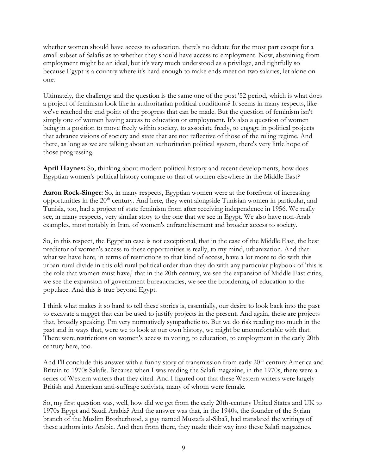whether women should have access to education, there's no debate for the most part except for a small subset of Salafis as to whether they should have access to employment. Now, abstaining from employment might be an ideal, but it's very much understood as a privilege, and rightfully so because Egypt is a country where it's hard enough to make ends meet on two salaries, let alone on one.

Ultimately, the challenge and the question is the same one of the post '52 period, which is what does a project of feminism look like in authoritarian political conditions? It seems in many respects, like we've reached the end point of the progress that can be made. But the question of feminism isn't simply one of women having access to education or employment. It's also a question of women being in a position to move freely within society, to associate freely, to engage in political projects that advance visions of society and state that are not reflective of those of the ruling regime. And there, as long as we are talking about an authoritarian political system, there's very little hope of those progressing.

**April Haynes:** So, thinking about modern political history and recent developments, how does Egyptian women's political history compare to that of women elsewhere in the Middle East?

**Aaron Rock-Singer:** So, in many respects, Egyptian women were at the forefront of increasing opportunities in the  $20<sup>th</sup>$  century. And here, they went alongside Tunisian women in particular, and Tunisia, too, had a project of state feminism from after receiving independence in 1956. We really see, in many respects, very similar story to the one that we see in Egypt. We also have non-Arab examples, most notably in Iran, of women's enfranchisement and broader access to society.

So, in this respect, the Egyptian case is not exceptional, that in the case of the Middle East, the best predictor of women's access to these opportunities is really, to my mind, urbanization. And that what we have here, in terms of restrictions to that kind of access, have a lot more to do with this urban-rural divide in this old rural political order than they do with any particular playbook of 'this is the role that women must have,' that in the 20th century, we see the expansion of Middle East cities, we see the expansion of government bureaucracies, we see the broadening of education to the populace. And this is true beyond Egypt.

I think what makes it so hard to tell these stories is, essentially, our desire to look back into the past to excavate a nugget that can be used to justify projects in the present. And again, these are projects that, broadly speaking, I'm very normatively sympathetic to. But we do risk reading too much in the past and in ways that, were we to look at our own history, we might be uncomfortable with that. There were restrictions on women's access to voting, to education, to employment in the early 20th century here, too.

And I'll conclude this answer with a funny story of transmission from early 20<sup>th</sup>-century America and Britain to 1970s Salafis. Because when I was reading the Salafi magazine, in the 1970s, there were a series of Western writers that they cited. And I figured out that these Western writers were largely British and American anti-suffrage activists, many of whom were female.

So, my first question was, well, how did we get from the early 20th-century United States and UK to 1970s Egypt and Saudi Arabia? And the answer was that, in the 1940s, the founder of the Syrian branch of the Muslim Brotherhood, a guy named Mustafa al-Siba'i, had translated the writings of these authors into Arabic. And then from there, they made their way into these Salafi magazines.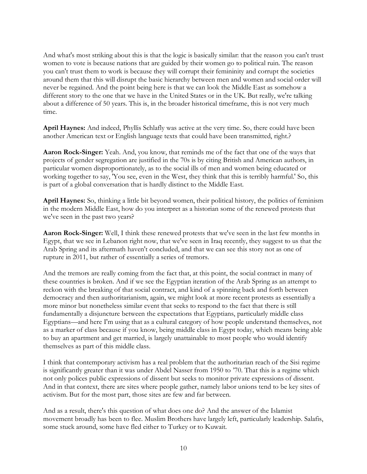And what's most striking about this is that the logic is basically similar: that the reason you can't trust women to vote is because nations that are guided by their women go to political ruin. The reason you can't trust them to work is because they will corrupt their femininity and corrupt the societies around them that this will disrupt the basic hierarchy between men and women and social order will never be regained. And the point being here is that we can look the Middle East as somehow a different story to the one that we have in the United States or in the UK. But really, we're talking about a difference of 50 years. This is, in the broader historical timeframe, this is not very much time.

**April Haynes:** And indeed, Phyllis Schlafly was active at the very time. So, there could have been another American text or English language texts that could have been transmitted, right.?

**Aaron Rock-Singer:** Yeah. And, you know, that reminds me of the fact that one of the ways that projects of gender segregation are justified in the 70s is by citing British and American authors, in particular women disproportionately, as to the social ills of men and women being educated or working together to say, 'You see, even in the West, they think that this is terribly harmful.' So, this is part of a global conversation that is hardly distinct to the Middle East.

**April Haynes:** So, thinking a little bit beyond women, their political history, the politics of feminism in the modern Middle East, how do you interpret as a historian some of the renewed protests that we've seen in the past two years?

**Aaron Rock-Singer:** Well, I think these renewed protests that we've seen in the last few months in Egypt, that we see in Lebanon right now, that we've seen in Iraq recently, they suggest to us that the Arab Spring and its aftermath haven't concluded, and that we can see this story not as one of rupture in 2011, but rather of essentially a series of tremors.

And the tremors are really coming from the fact that, at this point, the social contract in many of these countries is broken. And if we see the Egyptian iteration of the Arab Spring as an attempt to reckon with the breaking of that social contract, and kind of a spinning back and forth between democracy and then authoritarianism, again, we might look at more recent protests as essentially a more minor but nonetheless similar event that seeks to respond to the fact that there is still fundamentally a disjuncture between the expectations that Egyptians, particularly middle class Egyptians—and here I'm using that as a cultural category of how people understand themselves, not as a marker of class because if you know, being middle class in Egypt today, which means being able to buy an apartment and get married, is largely unattainable to most people who would identify themselves as part of this middle class.

I think that contemporary activism has a real problem that the authoritarian reach of the Sisi regime is significantly greater than it was under Abdel Nasser from 1950 to '70. That this is a regime which not only polices public expressions of dissent but seeks to monitor private expressions of dissent. And in that context, there are sites where people gather, namely labor unions tend to be key sites of activism. But for the most part, those sites are few and far between.

And as a result, there's this question of what does one do? And the answer of the Islamist movement broadly has been to flee. Muslim Brothers have largely left, particularly leadership. Salafis, some stuck around, some have fled either to Turkey or to Kuwait.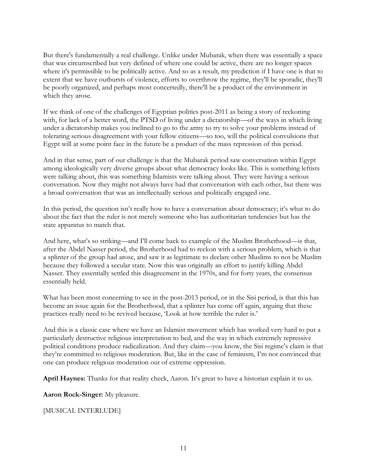But there's fundamentally a real challenge. Unlike under Mubarak, when there was essentially a space that was circumscribed but very defined of where one could be active, there are no longer spaces where it's permissible to be politically active. And so as a result, my prediction if I have one is that to extent that we have outbursts of violence, efforts to overthrow the regime, they'll be sporadic, they'll be poorly organized, and perhaps most concertedly, there'll be a product of the environment in which they arose.

If we think of one of the challenges of Egyptian politics post-2011 as being a story of reckoning with, for lack of a better word, the PTSD of living under a dictatorship—of the ways in which living under a dictatorship makes you inclined to go to the army to try to solve your problems instead of tolerating serious disagreement with your fellow citizens—so too, will the political convulsions that Egypt will at some point face in the future be a product of the mass repression of this period.

And in that sense, part of our challenge is that the Mubarak period saw conversation within Egypt among ideologically very diverse groups about what democracy looks like. This is something leftists were talking about, this was something Islamists were talking about. They were having a serious conversation. Now they might not always have had that conversation with each other, but there was a broad conversation that was an intellectually serious and politically engaged one.

In this period, the question isn't really how to have a conversation about democracy; it's what to do about the fact that the ruler is not merely someone who has authoritarian tendencies but has the state apparatus to match that.

And here, what's so striking—and I'll come back to example of the Muslim Brotherhood—is that, after the Abdel Nasser period, the Brotherhood had to reckon with a serious problem, which is that a splinter of the group had arose, and saw it as legitimate to declare other Muslims to not be Muslim because they followed a secular state. Now this was originally an effort to justify killing Abdel Nasser. They essentially settled this disagreement in the 1970s, and for forty years, the consensus essentially held.

What has been most concerning to see in the post-2013 period, or in the Sisi period, is that this has become an issue again for the Brotherhood, that a splinter has come off again, arguing that these practices really need to be revived because, 'Look at how terrible the ruler is.'

And this is a classic case where we have an Islamist movement which has worked very hard to put a particularly destructive religious interpretation to bed, and the way in which extremely repressive political conditions produce radicalization. And they claim—you know, the Sisi regime's claim is that they're committed to religious moderation. But, like in the case of feminism, I'm not convinced that one can produce religious moderation out of extreme oppression.

**April Haynes:** Thanks for that reality check, Aaron. It's great to have a historian explain it to us.

**Aaron Rock-Singer:** My pleasure.

[MUSICAL INTERLUDE]